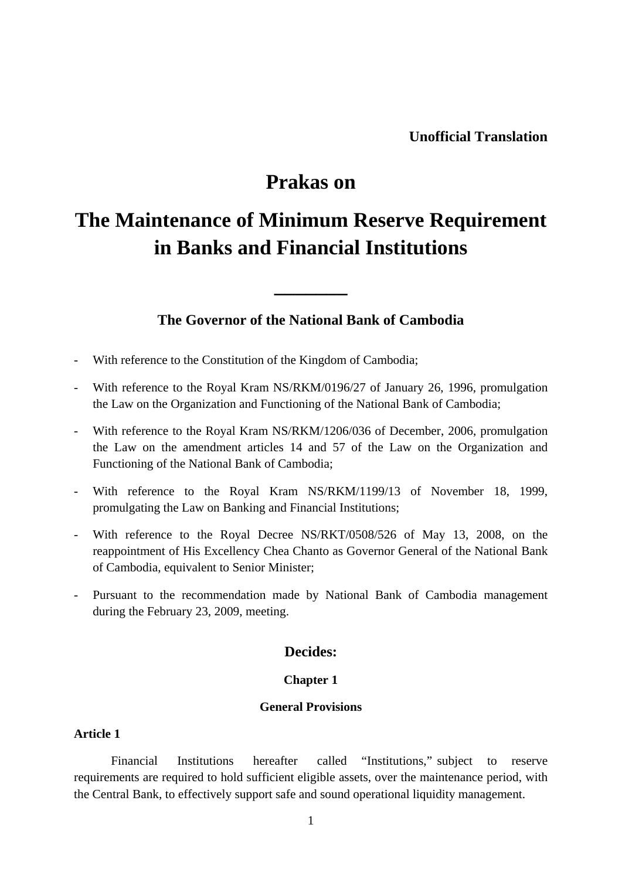# **Prakas on**

# **The Maintenance of Minimum Reserve Requirement in Banks and Financial Institutions**

# **The Governor of the National Bank of Cambodia**

**\_\_\_\_\_\_\_** 

- With reference to the Constitution of the Kingdom of Cambodia;
- With reference to the Royal Kram NS/RKM/0196/27 of January 26, 1996, promulgation the Law on the Organization and Functioning of the National Bank of Cambodia;
- With reference to the Royal Kram NS/RKM/1206/036 of December, 2006, promulgation the Law on the amendment articles 14 and 57 of the Law on the Organization and Functioning of the National Bank of Cambodia;
- With reference to the Royal Kram NS/RKM/1199/13 of November 18, 1999, promulgating the Law on Banking and Financial Institutions;
- With reference to the Royal Decree NS/RKT/0508/526 of May 13, 2008, on the reappointment of His Excellency Chea Chanto as Governor General of the National Bank of Cambodia, equivalent to Senior Minister;
- Pursuant to the recommendation made by National Bank of Cambodia management during the February 23, 2009, meeting.

# **Decides:**

## **Chapter 1**

# **General Provisions**

# **Article 1**

Financial Institutions hereafter called "Institutions," subject to reserve requirements are required to hold sufficient eligible assets, over the maintenance period, with the Central Bank, to effectively support safe and sound operational liquidity management.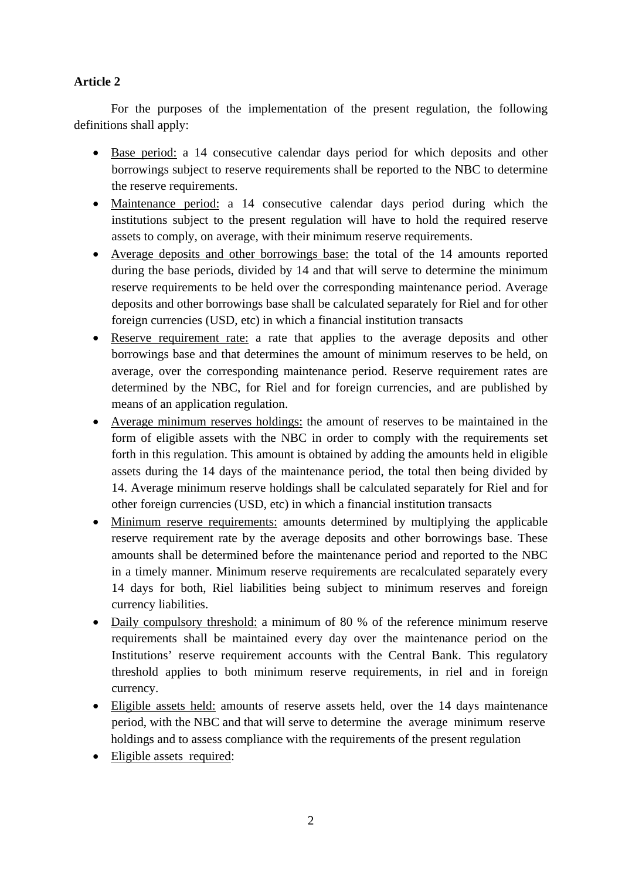# **Article 2**

For the purposes of the implementation of the present regulation, the following definitions shall apply:

- Base period: a 14 consecutive calendar days period for which deposits and other borrowings subject to reserve requirements shall be reported to the NBC to determine the reserve requirements.
- Maintenance period: a 14 consecutive calendar days period during which the institutions subject to the present regulation will have to hold the required reserve assets to comply, on average, with their minimum reserve requirements.
- Average deposits and other borrowings base: the total of the 14 amounts reported during the base periods, divided by 14 and that will serve to determine the minimum reserve requirements to be held over the corresponding maintenance period. Average deposits and other borrowings base shall be calculated separately for Riel and for other foreign currencies (USD, etc) in which a financial institution transacts
- Reserve requirement rate: a rate that applies to the average deposits and other borrowings base and that determines the amount of minimum reserves to be held, on average, over the corresponding maintenance period. Reserve requirement rates are determined by the NBC, for Riel and for foreign currencies, and are published by means of an application regulation.
- Average minimum reserves holdings: the amount of reserves to be maintained in the form of eligible assets with the NBC in order to comply with the requirements set forth in this regulation. This amount is obtained by adding the amounts held in eligible assets during the 14 days of the maintenance period, the total then being divided by 14. Average minimum reserve holdings shall be calculated separately for Riel and for other foreign currencies (USD, etc) in which a financial institution transacts
- Minimum reserve requirements: amounts determined by multiplying the applicable reserve requirement rate by the average deposits and other borrowings base. These amounts shall be determined before the maintenance period and reported to the NBC in a timely manner. Minimum reserve requirements are recalculated separately every 14 days for both, Riel liabilities being subject to minimum reserves and foreign currency liabilities.
- Daily compulsory threshold: a minimum of 80 % of the reference minimum reserve requirements shall be maintained every day over the maintenance period on the Institutions' reserve requirement accounts with the Central Bank. This regulatory threshold applies to both minimum reserve requirements, in riel and in foreign currency.
- Eligible assets held: amounts of reserve assets held, over the 14 days maintenance period, with the NBC and that will serve to determine the average minimum reserve holdings and to assess compliance with the requirements of the present regulation
- Eligible assets required: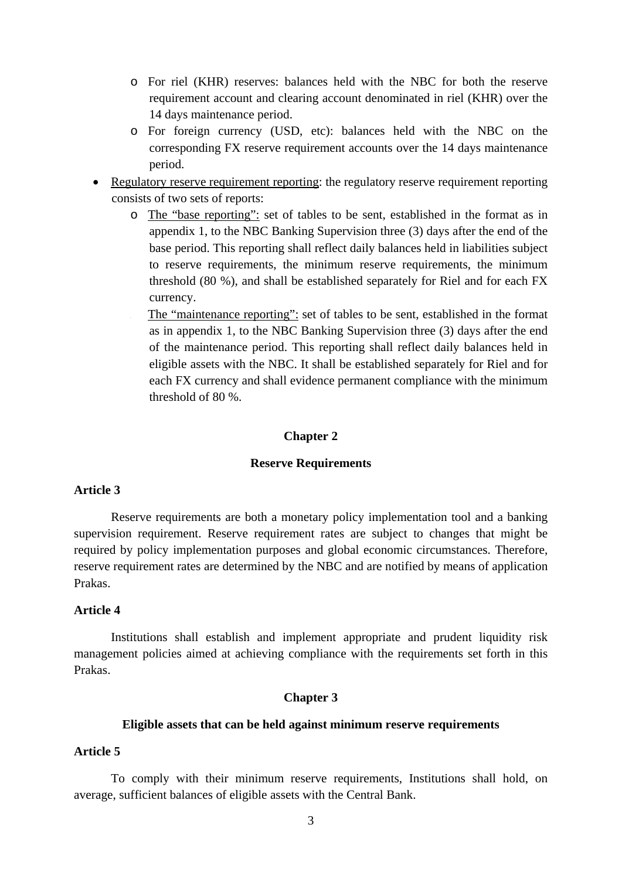- o For riel (KHR) reserves: balances held with the NBC for both the reserve requirement account and clearing account denominated in riel (KHR) over the 14 days maintenance period.
- o For foreign currency (USD, etc): balances held with the NBC on the corresponding FX reserve requirement accounts over the 14 days maintenance period.
- Regulatory reserve requirement reporting: the regulatory reserve requirement reporting consists of two sets of reports:
	- o The "base reporting": set of tables to be sent, established in the format as in appendix 1, to the NBC Banking Supervision three (3) days after the end of the base period. This reporting shall reflect daily balances held in liabilities subject to reserve requirements, the minimum reserve requirements, the minimum threshold (80 %), and shall be established separately for Riel and for each FX currency.
		- The "maintenance reporting": set of tables to be sent, established in the format as in appendix 1, to the NBC Banking Supervision three (3) days after the end of the maintenance period. This reporting shall reflect daily balances held in eligible assets with the NBC. It shall be established separately for Riel and for each FX currency and shall evidence permanent compliance with the minimum threshold of 80 %.

#### **Chapter 2**

#### **Reserve Requirements**

# **Article 3**

Reserve requirements are both a monetary policy implementation tool and a banking supervision requirement. Reserve requirement rates are subject to changes that might be required by policy implementation purposes and global economic circumstances. Therefore, reserve requirement rates are determined by the NBC and are notified by means of application Prakas.

## **Article 4**

Institutions shall establish and implement appropriate and prudent liquidity risk management policies aimed at achieving compliance with the requirements set forth in this Prakas.

### **Chapter 3**

#### **Eligible assets that can be held against minimum reserve requirements**

#### **Article 5**

To comply with their minimum reserve requirements, Institutions shall hold, on average, sufficient balances of eligible assets with the Central Bank.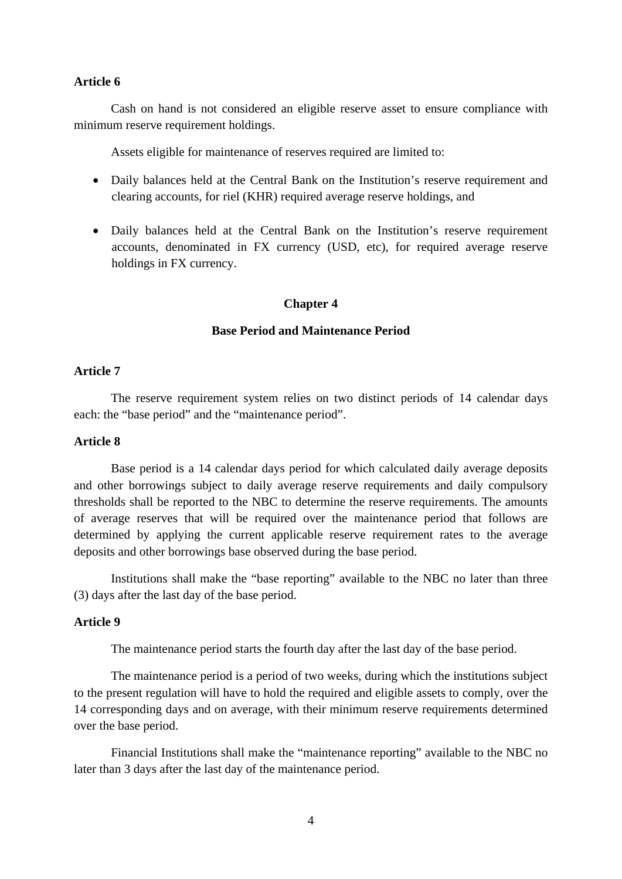## **Article 6**

Cash on hand is not considered an eligible reserve asset to ensure compliance with minimum reserve requirement holdings.

Assets eligible for maintenance of reserves required are limited to:

- Daily balances held at the Central Bank on the Institution's reserve requirement and clearing accounts, for riel (KHR) required average reserve holdings, and
- Daily balances held at the Central Bank on the Institution's reserve requirement accounts, denominated in FX currency (USD, etc), for required average reserve holdings in FX currency.

#### **Chapter 4**

## **Base Period and Maintenance Period**

#### **Article 7**

The reserve requirement system relies on two distinct periods of 14 calendar days each: the "base period" and the "maintenance period".

## **Article 8**

Base period is a 14 calendar days period for which calculated daily average deposits and other borrowings subject to daily average reserve requirements and daily compulsory thresholds shall be reported to the NBC to determine the reserve requirements. The amounts of average reserves that will be required over the maintenance period that follows are determined by applying the current applicable reserve requirement rates to the average deposits and other borrowings base observed during the base period.

Institutions shall make the "base reporting" available to the NBC no later than three (3) days after the last day of the base period.

#### **Article 9**

The maintenance period starts the fourth day after the last day of the base period.

The maintenance period is a period of two weeks, during which the institutions subject to the present regulation will have to hold the required and eligible assets to comply, over the 14 corresponding days and on average, with their minimum reserve requirements determined over the base period.

Financial Institutions shall make the "maintenance reporting" available to the NBC no later than 3 days after the last day of the maintenance period.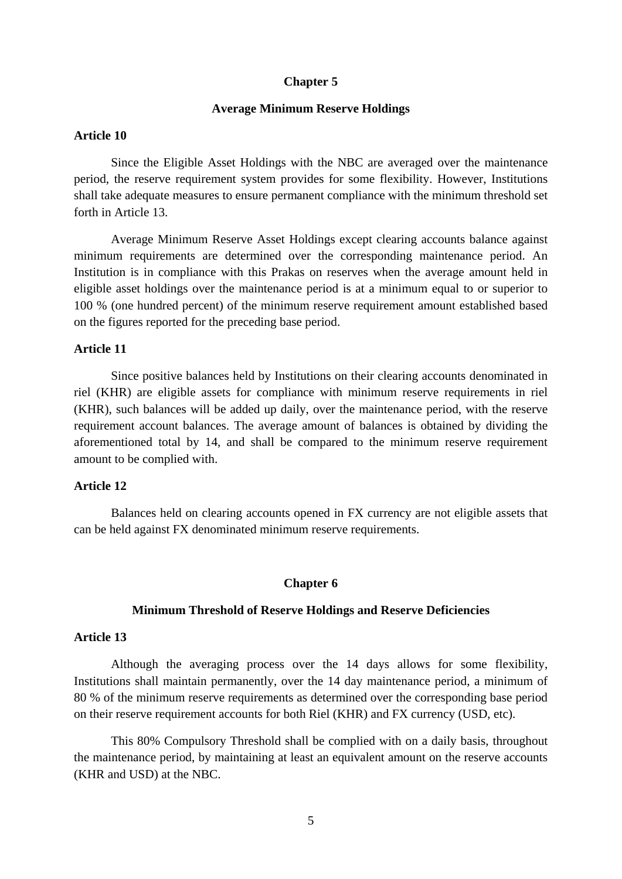#### **Chapter 5**

#### **Average Minimum Reserve Holdings**

## **Article 10**

Since the Eligible Asset Holdings with the NBC are averaged over the maintenance period, the reserve requirement system provides for some flexibility. However, Institutions shall take adequate measures to ensure permanent compliance with the minimum threshold set forth in Article 13.

 Average Minimum Reserve Asset Holdings except clearing accounts balance against minimum requirements are determined over the corresponding maintenance period. An Institution is in compliance with this Prakas on reserves when the average amount held in eligible asset holdings over the maintenance period is at a minimum equal to or superior to 100 % (one hundred percent) of the minimum reserve requirement amount established based on the figures reported for the preceding base period.

## **Article 11**

Since positive balances held by Institutions on their clearing accounts denominated in riel (KHR) are eligible assets for compliance with minimum reserve requirements in riel (KHR), such balances will be added up daily, over the maintenance period, with the reserve requirement account balances. The average amount of balances is obtained by dividing the aforementioned total by 14, and shall be compared to the minimum reserve requirement amount to be complied with.

#### **Article 12**

Balances held on clearing accounts opened in FX currency are not eligible assets that can be held against FX denominated minimum reserve requirements.

#### **Chapter 6**

#### **Minimum Threshold of Reserve Holdings and Reserve Deficiencies**

## **Article 13**

Although the averaging process over the 14 days allows for some flexibility, Institutions shall maintain permanently, over the 14 day maintenance period, a minimum of 80 % of the minimum reserve requirements as determined over the corresponding base period on their reserve requirement accounts for both Riel (KHR) and FX currency (USD, etc).

This 80% Compulsory Threshold shall be complied with on a daily basis, throughout the maintenance period, by maintaining at least an equivalent amount on the reserve accounts (KHR and USD) at the NBC.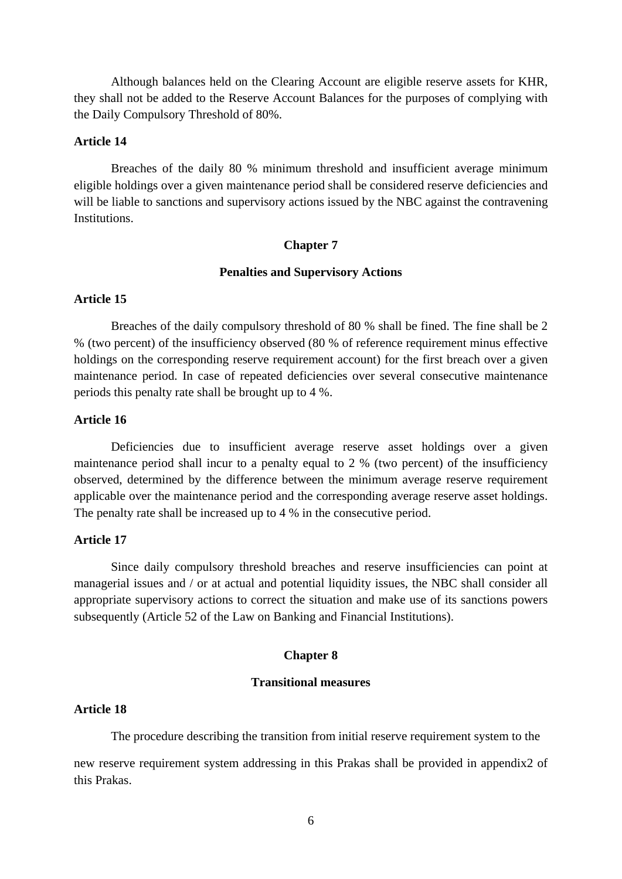Although balances held on the Clearing Account are eligible reserve assets for KHR, they shall not be added to the Reserve Account Balances for the purposes of complying with the Daily Compulsory Threshold of 80%.

#### **Article 14**

Breaches of the daily 80 % minimum threshold and insufficient average minimum eligible holdings over a given maintenance period shall be considered reserve deficiencies and will be liable to sanctions and supervisory actions issued by the NBC against the contravening Institutions.

#### **Chapter 7**

#### **Penalties and Supervisory Actions**

#### **Article 15**

 Breaches of the daily compulsory threshold of 80 % shall be fined. The fine shall be 2 % (two percent) of the insufficiency observed (80 % of reference requirement minus effective holdings on the corresponding reserve requirement account) for the first breach over a given maintenance period. In case of repeated deficiencies over several consecutive maintenance periods this penalty rate shall be brought up to 4 %.

#### **Article 16**

Deficiencies due to insufficient average reserve asset holdings over a given maintenance period shall incur to a penalty equal to 2 % (two percent) of the insufficiency observed, determined by the difference between the minimum average reserve requirement applicable over the maintenance period and the corresponding average reserve asset holdings. The penalty rate shall be increased up to 4 % in the consecutive period.

#### **Article 17**

Since daily compulsory threshold breaches and reserve insufficiencies can point at managerial issues and / or at actual and potential liquidity issues, the NBC shall consider all appropriate supervisory actions to correct the situation and make use of its sanctions powers subsequently (Article 52 of the Law on Banking and Financial Institutions).

#### **Chapter 8**

## **Transitional measures**

#### **Article 18**

The procedure describing the transition from initial reserve requirement system to the

new reserve requirement system addressing in this Prakas shall be provided in appendix2 of this Prakas.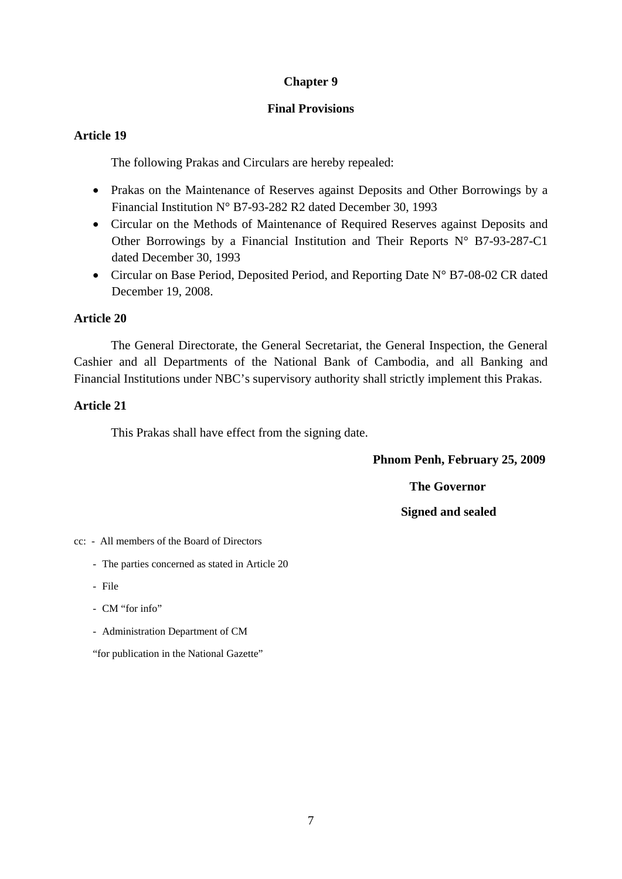# **Chapter 9**

# **Final Provisions**

# **Article 19**

The following Prakas and Circulars are hereby repealed:

- Prakas on the Maintenance of Reserves against Deposits and Other Borrowings by a Financial Institution N° B7-93-282 R2 dated December 30, 1993
- Circular on the Methods of Maintenance of Required Reserves against Deposits and Other Borrowings by a Financial Institution and Their Reports N° B7-93-287-C1 dated December 30, 1993
- Circular on Base Period, Deposited Period, and Reporting Date N° B7-08-02 CR dated December 19, 2008.

# **Article 20**

The General Directorate, the General Secretariat, the General Inspection, the General Cashier and all Departments of the National Bank of Cambodia, and all Banking and Financial Institutions under NBC's supervisory authority shall strictly implement this Prakas.

# **Article 21**

This Prakas shall have effect from the signing date.

 **Phnom Penh, February 25, 2009** 

**The Governor** 

 **Signed and sealed**

cc: - All members of the Board of Directors

- The parties concerned as stated in Article 20
- File
- CM "for info"
- Administration Department of CM

"for publication in the National Gazette"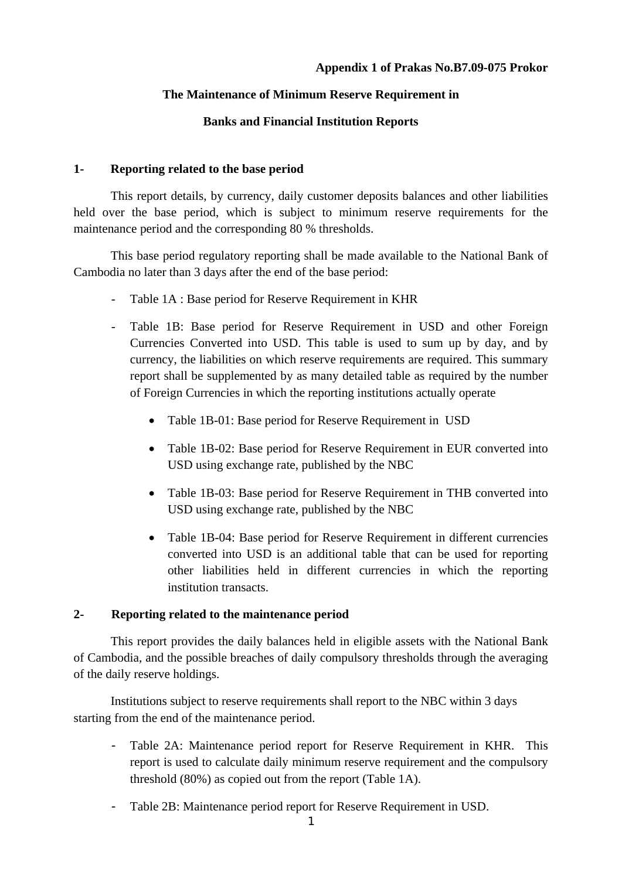# **Appendix 1 of Prakas No.B7.09-075 Prokor**

# **The Maintenance of Minimum Reserve Requirement in**

# **Banks and Financial Institution Reports**

# **1- Reporting related to the base period**

This report details, by currency, daily customer deposits balances and other liabilities held over the base period, which is subject to minimum reserve requirements for the maintenance period and the corresponding 80 % thresholds.

This base period regulatory reporting shall be made available to the National Bank of Cambodia no later than 3 days after the end of the base period:

- Table 1A : Base period for Reserve Requirement in KHR
- Table 1B: Base period for Reserve Requirement in USD and other Foreign Currencies Converted into USD. This table is used to sum up by day, and by currency, the liabilities on which reserve requirements are required. This summary report shall be supplemented by as many detailed table as required by the number of Foreign Currencies in which the reporting institutions actually operate
	- Table 1B-01: Base period for Reserve Requirement in USD
	- Table 1B-02: Base period for Reserve Requirement in EUR converted into USD using exchange rate, published by the NBC
	- Table 1B-03: Base period for Reserve Requirement in THB converted into USD using exchange rate, published by the NBC
	- Table 1B-04: Base period for Reserve Requirement in different currencies converted into USD is an additional table that can be used for reporting other liabilities held in different currencies in which the reporting institution transacts.

## **2- Reporting related to the maintenance period**

This report provides the daily balances held in eligible assets with the National Bank of Cambodia, and the possible breaches of daily compulsory thresholds through the averaging of the daily reserve holdings.

Institutions subject to reserve requirements shall report to the NBC within 3 days starting from the end of the maintenance period.

- Table 2A: Maintenance period report for Reserve Requirement in KHR. This report is used to calculate daily minimum reserve requirement and the compulsory threshold (80%) as copied out from the report (Table 1A).
- Table 2B: Maintenance period report for Reserve Requirement in USD.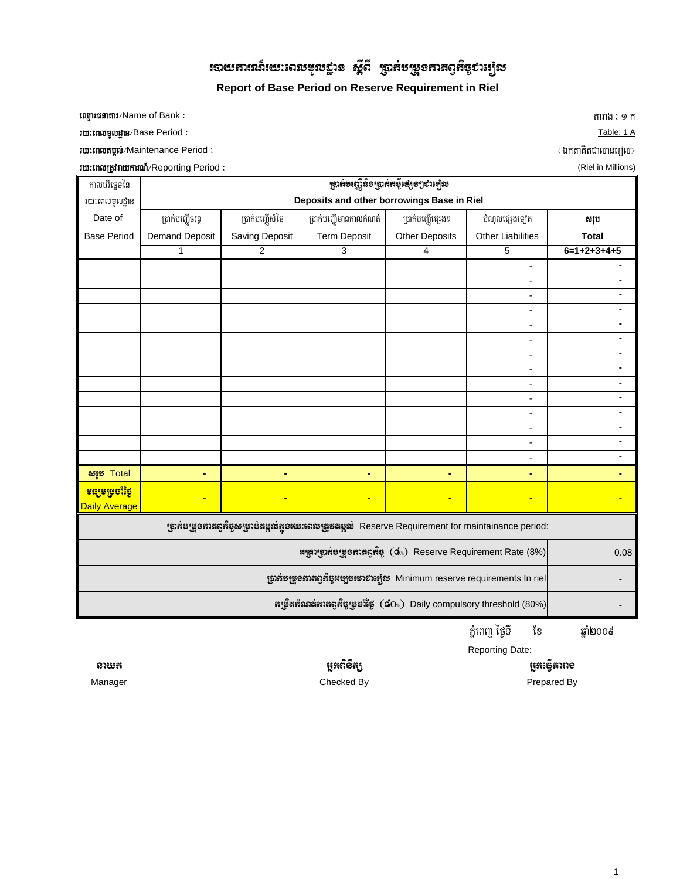# $\,$ របាយអារនេភ៍យេះពេលមុលខ្លាន $\,$ ស្ដីពី $\,$ ម្ជាអ់បម្រួទអាតព្វអិប្ $\,$ បរម្យិល

**Report of Base Period on Reserve Requirement in Riel**

 $\frac{1}{2}$  target and the CH state of Bank  $\frac{1}{2}$  is target and the contract of target and  $\frac{1}{2}$  is target and  $\frac{1}{2}$  is the contract of Bank  $\frac{1}{2}$  is the contract of Bank  $\frac{1}{2}$  is the contract of Bank  $\$ 

ruttin the Black of Period and Black of the Blues of the Blues of the Blues of the Blues of the Table: 1 A

ry³eBltmál;¼Maintenance Period ³ ¬ÉktaKitCalanerol¦

rutraturg and the Black of China and Table and Table and Table and Table and Table and Table and Table and Table and Table and Table and Table and Table and Table and Table and Table and Table and Table and Table and Table

| កាលបរិច្ឆេទនៃ                                        | <b>ត្រូវគមឡើ</b> និទត្រូវគតម៉ឺ្គន្សេទៗ៩រព្យេស                                  |                |                                                                                                                   |                       |                                  |                |  |  |
|------------------------------------------------------|--------------------------------------------------------------------------------|----------------|-------------------------------------------------------------------------------------------------------------------|-----------------------|----------------------------------|----------------|--|--|
| រយ:ពេលមូលដ្ឋាន                                       | Deposits and other borrowings Base in Riel                                     |                |                                                                                                                   |                       |                                  |                |  |  |
| Date of                                              | ប្រាក់បញ្ញើចរន្ត                                                               | សរុប           |                                                                                                                   |                       |                                  |                |  |  |
| <b>Base Period</b>                                   | <b>Demand Deposit</b>                                                          | Saving Deposit | <b>Term Deposit</b>                                                                                               | <b>Other Deposits</b> | <b>Other Liabilities</b>         | <b>Total</b>   |  |  |
|                                                      | 1                                                                              | $\overline{2}$ | 3                                                                                                                 | 4                     | 5                                | $6=1+2+3+4+5$  |  |  |
|                                                      |                                                                                |                |                                                                                                                   |                       | $\overline{a}$                   |                |  |  |
|                                                      |                                                                                |                |                                                                                                                   |                       | $\overline{a}$                   |                |  |  |
|                                                      |                                                                                |                |                                                                                                                   |                       | $\overline{a}$                   |                |  |  |
|                                                      |                                                                                |                |                                                                                                                   |                       | $\overline{a}$                   | ٠              |  |  |
|                                                      |                                                                                |                |                                                                                                                   |                       | $\overline{a}$                   |                |  |  |
|                                                      |                                                                                |                |                                                                                                                   |                       | $\overline{a}$                   |                |  |  |
|                                                      |                                                                                |                |                                                                                                                   |                       | $\blacksquare$                   |                |  |  |
|                                                      |                                                                                |                |                                                                                                                   |                       | $\overline{\phantom{a}}$         | $\blacksquare$ |  |  |
|                                                      |                                                                                |                |                                                                                                                   |                       | $\overline{a}$                   |                |  |  |
|                                                      |                                                                                |                |                                                                                                                   |                       | $\overline{a}$                   |                |  |  |
|                                                      |                                                                                |                |                                                                                                                   |                       | $\overline{a}$<br>$\overline{a}$ | $\blacksquare$ |  |  |
|                                                      |                                                                                |                |                                                                                                                   |                       | $\overline{a}$                   |                |  |  |
|                                                      |                                                                                |                |                                                                                                                   |                       | $\blacksquare$                   |                |  |  |
| សរុម Total                                           | ٠                                                                              | ٠              | ٠                                                                                                                 | ٠                     | ٠                                | ٠              |  |  |
| <mark>ទន្សទម្រចាំថ្ងៃ</mark><br><b>Daily Average</b> |                                                                                | ٠              | $\blacksquare$                                                                                                    | $\blacksquare$        | $\blacksquare$                   |                |  |  |
|                                                      |                                                                                |                | ស្រ្តាអ៉ីបម្រួ <b>ទអាតព្ទអ៊ីច្ចសម្រាប់តម្កល់អូទរយៈពេលត្រូតតម្កល់</b> Reserve Requirement for maintainance period: |                       |                                  |                |  |  |
|                                                      | 0.08                                                                           |                |                                                                                                                   |                       |                                  |                |  |  |
|                                                      | ស្ត្រាអមម្រួទនាងព្វអិច្ចអម្បូមរបរបំរម្យិល Minimum reserve requirements In riel |                |                                                                                                                   |                       |                                  |                |  |  |
|                                                      |                                                                                |                |                                                                                                                   |                       |                                  |                |  |  |

ភ្នំពេញ ម្រិទី ខែ ឆ្នាំ២០០៩

Reporting Date:

Manager **Checked By** Checked By **Checked By Prepared By** 

នាយអ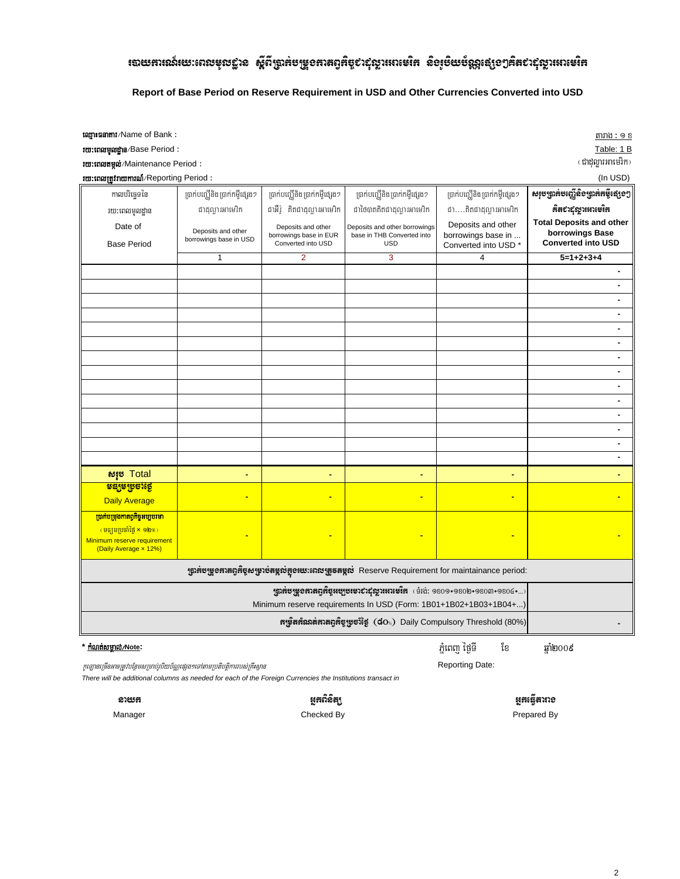# ៖បាយការណ៍យេះពេលមូលដ្ឋាន ស្តីពីប្រាក់បម្រួចកាតព្វកិច្ច¢ាដុល្លារអោះមរិក និឲរួមិយប័ណ្ណស្មេៗគិត៩ាដុល្លារអោះមរិក

#### Report of Base Period on Reserve Requirement in USD and Other Currencies Converted into USD

**ឈ្មោះផនាគារ**/Name of Bank:

10: mutungughs/Base Period:

**rm:mungud/Maintenance Period:** 

| ru: tnow the main of reporting Period:<br>(In USD)                                                                                                   |                                                                                                       |                                                                    |                                                                           |                                                                             |                                                                                 |  |
|------------------------------------------------------------------------------------------------------------------------------------------------------|-------------------------------------------------------------------------------------------------------|--------------------------------------------------------------------|---------------------------------------------------------------------------|-----------------------------------------------------------------------------|---------------------------------------------------------------------------------|--|
| កាលបរិច្ឆេទនៃ                                                                                                                                        | ព្រាក់បញ្ឈើនិងប្រាក់កម្ចីផ្សេង១                                                                       | ប្រាក់បញ្ញើនិង ប្រាក់កម្ចីផ្សេង១                                   | ប្រាក់បញ្ឈើនិង ប្រាក់កម្ចីផ្សេង១                                          | ប្រាក់បញ្ញើនិង ប្រាក់កម្ចីផ្សេង១                                            | សរុបប្រាក់បញ្ញើសិទប្រាក់កម្ចីស្មេទៗ                                             |  |
| រយ:ពេលមូលដ្ឋាន                                                                                                                                       | ជាដុល្លារអាមេរិក                                                                                      | ជាអឺរ៉ូ គិតជាដុល្លារអាមេរិក                                        | ៅថៃបាតគិតជាដុល្លារអាមេរិក                                                 | <i>ថា</i> គិតថាដុល្លារអាមេរិក                                               | ติสธาธุญาเทาเซเิต                                                               |  |
| Date of<br><b>Base Period</b>                                                                                                                        | Deposits and other<br>borrowings base in USD                                                          | Deposits and other<br>borrowings base in EUR<br>Converted into USD | Deposits and other borrowings<br>base in THB Converted into<br><b>USD</b> | Deposits and other<br>borrowings base in<br>Converted into USD <sup>*</sup> | <b>Total Deposits and other</b><br>borrowings Base<br><b>Converted into USD</b> |  |
|                                                                                                                                                      | $\mathbf{1}$                                                                                          | $\overline{2}$                                                     | 3                                                                         | $\overline{\mathbf{4}}$                                                     | $5=1+2+3+4$                                                                     |  |
|                                                                                                                                                      |                                                                                                       |                                                                    |                                                                           |                                                                             |                                                                                 |  |
|                                                                                                                                                      |                                                                                                       |                                                                    |                                                                           |                                                                             | ٠                                                                               |  |
|                                                                                                                                                      |                                                                                                       |                                                                    |                                                                           |                                                                             | $\blacksquare$                                                                  |  |
|                                                                                                                                                      |                                                                                                       |                                                                    |                                                                           |                                                                             | $\blacksquare$                                                                  |  |
|                                                                                                                                                      |                                                                                                       |                                                                    |                                                                           |                                                                             |                                                                                 |  |
|                                                                                                                                                      |                                                                                                       |                                                                    |                                                                           |                                                                             | $\blacksquare$                                                                  |  |
|                                                                                                                                                      |                                                                                                       |                                                                    |                                                                           |                                                                             | ٠                                                                               |  |
|                                                                                                                                                      |                                                                                                       |                                                                    |                                                                           |                                                                             | $\blacksquare$                                                                  |  |
|                                                                                                                                                      |                                                                                                       |                                                                    |                                                                           |                                                                             |                                                                                 |  |
|                                                                                                                                                      |                                                                                                       |                                                                    |                                                                           |                                                                             | $\blacksquare$                                                                  |  |
|                                                                                                                                                      |                                                                                                       |                                                                    |                                                                           |                                                                             | $\blacksquare$                                                                  |  |
|                                                                                                                                                      |                                                                                                       |                                                                    |                                                                           |                                                                             | $\blacksquare$                                                                  |  |
|                                                                                                                                                      |                                                                                                       |                                                                    |                                                                           |                                                                             |                                                                                 |  |
|                                                                                                                                                      |                                                                                                       |                                                                    |                                                                           |                                                                             | $\blacksquare$                                                                  |  |
| សរុម Total                                                                                                                                           | ٠                                                                                                     | ÷                                                                  | ٠                                                                         | ٠                                                                           |                                                                                 |  |
| <mark>ទន្សទម្រចាំថ្ង</mark> ៃ                                                                                                                        |                                                                                                       |                                                                    |                                                                           |                                                                             |                                                                                 |  |
| <b>Daily Average</b>                                                                                                                                 |                                                                                                       |                                                                    |                                                                           |                                                                             |                                                                                 |  |
| <b>ប្រាក់បម្រុងកាតព្វកិច្ចអប្បបរមា</b><br>(មធ្យមប្រចាំថ្ងៃ <mark>x ១២</mark> %)<br>Minimum reserve requirement<br>(Daily Average x 12%)              |                                                                                                       |                                                                    |                                                                           |                                                                             |                                                                                 |  |
|                                                                                                                                                      | ស្នាអ់បម្រួចអាតព្ទអឺម្លសម្រាប់តម្កល់អូចរយៈពេលអ្រួចតម្កល់ Reserve Requirement for maintainance period: |                                                                    |                                                                           |                                                                             |                                                                                 |  |
| <sub>1</sub> ถูกสับพอสมสตร์สุนบุษเอาชามีญาเมาะมิส (ย้ำน่ะ 9809+980lu+980m+980G+)<br>Minimum reserve requirements In USD (Form: 1B01+1B02+1B03+1B04+) |                                                                                                       |                                                                    |                                                                           |                                                                             |                                                                                 |  |
|                                                                                                                                                      | หาุริสห์ณาล์หาสตุห์ซูซูซา๊ซู (do ) Daily Compulsory Threshold (80%)                                   |                                                                    |                                                                           |                                                                             |                                                                                 |  |
| * កំណត់សម្គាល់/Note:                                                                                                                                 |                                                                                                       |                                                                    |                                                                           | ភំពេពា ថៃទី<br>ខែ                                                           | ឆាំ២០០៩                                                                         |  |

#### \* <u>កំណត់សម្គាល់/Note</u>:

ភ្នំពេញ ថ្ងៃទី Reporting Date:

ខែ

កូរឡានច្រើនអាចត្រូវបន្ថែមសម្រាប់រូបិយប័ណ្ណផ្សេង១ទៅតាមប្រតិបត្តិការរបស់គ្រឹះស្ថាន

There will be additional columns as needed for each of the Foreign Currencies the Institutions transact in

ಐಚುಣ Manager

#### ម្អូតពិនិត្យ Checked By

ម្លុកធ្វើតារាទ

Prepared By

| តារាង : ១ ខ |  |
|-------------|--|
| Table: 1 B  |  |
|             |  |

(ជាដុល្លារអាមេរិក)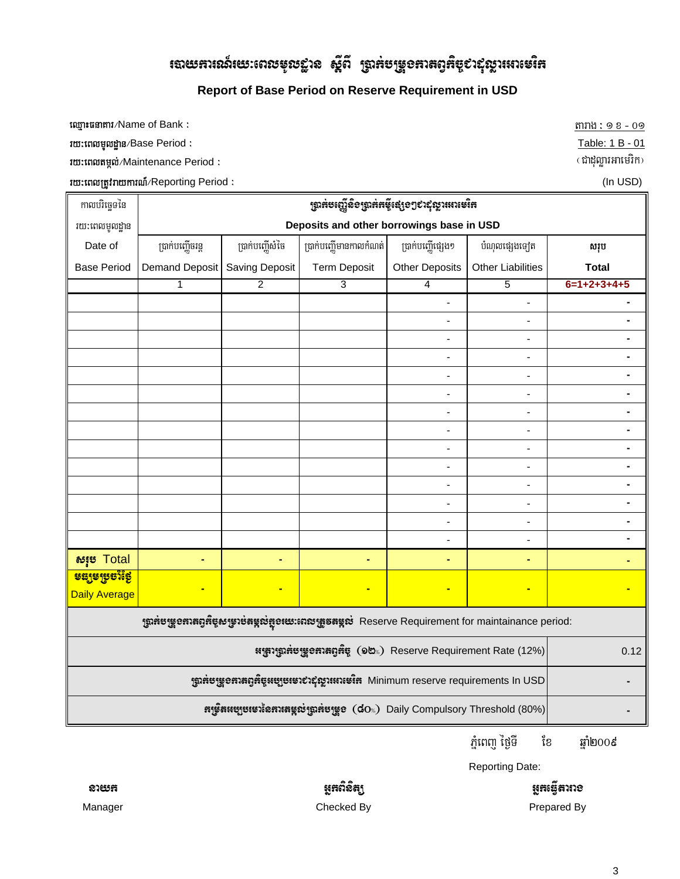# $\,$ របាយគាររណ៍យេះពេលមុលខ្លាន ស្ព័ពី ប្រាក់បម្រួ១គារតព្វកិច្ចបាល័ុល្លារអោមេរិក

# **Report of Base Period on Reserve Requirement in USD**

 $\frac{1}{2}$  target the Of Bank  $\frac{1}{2}$  target the  $\frac{1}{2}$   $\frac{1}{2}$   $\frac{1}{2}$   $\frac{1}{2}$   $\frac{1}{2}$   $\frac{1}{2}$   $\frac{1}{2}$   $\frac{1}{2}$   $\frac{1}{2}$   $\frac{1}{2}$   $\frac{1}{2}$   $\frac{1}{2}$   $\frac{1}{2}$   $\frac{1}{2}$   $\frac{1}{2}$   $\frac{1}{2}$   $\frac{1}{2}$ 

**rm: murgod;** Maintenance Period :

**ru:tnnutificary and the Executive Period and Control of Control of Control of Control of Control of Control of C**<br>The extent of the Control of Control of Control of Control of Control of Control of Control of Control of C

| កាលបរិច្ឆេទនៃ                                                                                                       | ឡាត់មញ្ជើតិទឡាត់តម៉ឺ្លេះខ្សែទៗទាស៊ីល្លារអាមេរិត                          |                 |                        |                          |                              |               |  |
|---------------------------------------------------------------------------------------------------------------------|--------------------------------------------------------------------------|-----------------|------------------------|--------------------------|------------------------------|---------------|--|
| រយ:ពេលមូលដ្ឋាន                                                                                                      | Deposits and other borrowings base in USD                                |                 |                        |                          |                              |               |  |
| Date of                                                                                                             | ប្រាក់បញ្ហើចរន្ត                                                         | ប្រាក់បញ្ញើសំចៃ | ប្រាក់បញ្ញើមានកាលកំណត់ | ប្រាក់បញ្ញើផ្សេង១        | បំណុលផ្សេងទ្បេត              | សរុប          |  |
| <b>Base Period</b>                                                                                                  | Demand Deposit                                                           | Saving Deposit  | <b>Term Deposit</b>    | <b>Other Deposits</b>    | <b>Other Liabilities</b>     | <b>Total</b>  |  |
|                                                                                                                     | 1                                                                        | $\overline{2}$  | 3                      | $\overline{4}$           | $\overline{5}$               | $6=1+2+3+4+5$ |  |
|                                                                                                                     |                                                                          |                 |                        | ÷,                       | ÷,                           |               |  |
|                                                                                                                     |                                                                          |                 |                        |                          |                              |               |  |
|                                                                                                                     |                                                                          |                 |                        | ÷,                       | $\overline{a}$               |               |  |
|                                                                                                                     |                                                                          |                 |                        | $\blacksquare$           | $\blacksquare$               |               |  |
|                                                                                                                     |                                                                          |                 |                        |                          | $\blacksquare$               |               |  |
|                                                                                                                     |                                                                          |                 |                        | $\overline{\phantom{0}}$ | $\qquad \qquad \blacksquare$ | ۰             |  |
|                                                                                                                     |                                                                          |                 |                        | ÷,                       | ÷,                           |               |  |
|                                                                                                                     |                                                                          |                 |                        |                          | $\blacksquare$               | -             |  |
|                                                                                                                     |                                                                          |                 |                        |                          | $\blacksquare$               |               |  |
|                                                                                                                     |                                                                          |                 |                        | $\blacksquare$           | $\blacksquare$               | -             |  |
|                                                                                                                     |                                                                          |                 |                        | ÷,                       | ÷,                           |               |  |
|                                                                                                                     |                                                                          |                 |                        | $\blacksquare$           | $\blacksquare$               |               |  |
|                                                                                                                     |                                                                          |                 |                        | ÷,                       | $\overline{a}$               |               |  |
|                                                                                                                     |                                                                          |                 |                        |                          |                              |               |  |
| <b>សរុម Total</b>                                                                                                   | ٠                                                                        | ٠               | ٠                      |                          | ۰                            |               |  |
| <mark>ទន្យមម្រមាំថ្ងៃ</mark>                                                                                        |                                                                          |                 |                        |                          |                              |               |  |
| <b>Daily Average</b>                                                                                                |                                                                          |                 |                        |                          | ٠                            |               |  |
| ស្រ្តាអ៉ីបម្រួ <b>ខអាតព្វអ៊ីប្លសម្រាប់តម្កល់អ្លួខយេ:ពេលត្រូតតម្កល់</b> Reserve Requirement for maintainance period: |                                                                          |                 |                        |                          |                              |               |  |
|                                                                                                                     | អេស្រាអ៊ូមម្រួលអាតព្ទអ៊ីម្ល (១២%) Reserve Requirement Rate (12%)<br>0.12 |                 |                        |                          |                              |               |  |
|                                                                                                                     |                                                                          |                 |                        |                          |                              |               |  |
|                                                                                                                     |                                                                          |                 |                        |                          |                              |               |  |

ភ្នំពេញ ថ្ងៃទី  $^{2}$  ខែ  $^{2}$  ឆ្នាំ២០០៩

Reporting Date:

ung<br>Kangguna

Prepared By

ରୀଞ୍ଜମ । ଏହା ଏହା ଏହା ଏହା ସମ୍ମାନିକି ସମ୍ମାନିକ । ଏହା ସମ୍ମାନିକି । ଏହା ଏହା ସମ୍ମାନିକି ସମ୍ମାନିକି । ଏହା ସମ୍ମାନିକି । ଏହ

Manager Checked By

<mark>Table: 1 B - 01 Im:ពេលមូលដ្ឋាន</mark>/Base Period :<br>**- Table: 1 B - 01 Im:ពេលតម្កល**់ Alaintenance Period :<br>- លោះពេលតម្កល់/Maintenance Period :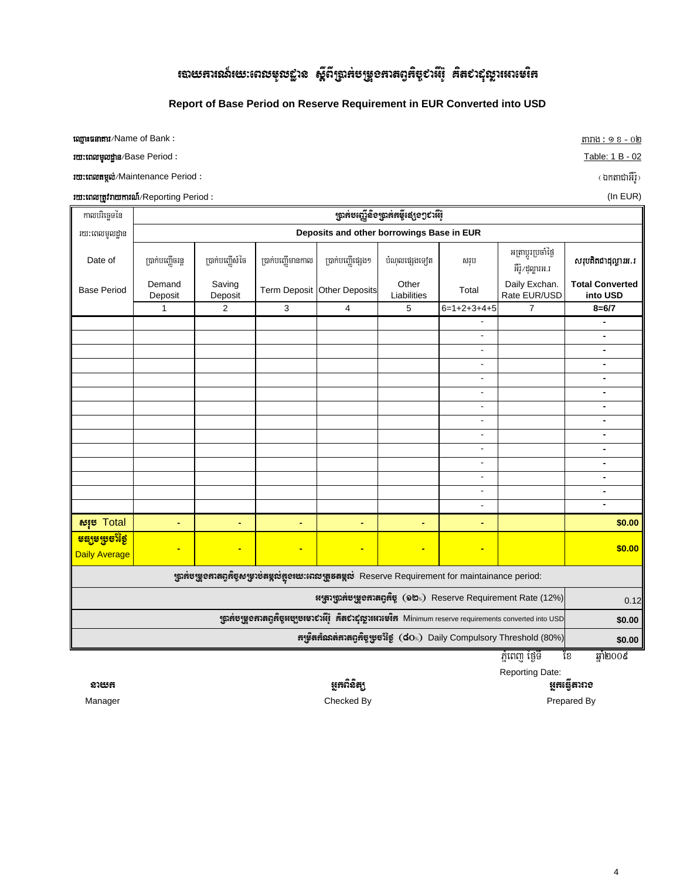# rฉយឝារណ៍យេៈពេលមុលដ្ឋាន ស្តីពីប្រាគ់បម្រួ**ទ**ភាគព្វគិច្ច¢ាអឺរ៉ុ គិត៩ាស្តារូអោមេរិឝ

#### **Report of Base Period on Reserve Requirement in EUR Converted into USD**

**Experiment** with the control of Bank  $\colon$  **Experimental and the control of tarage**  $\colon$  $\text{min}$  $\colon$  $\text{min}$  $\colon$  $\text{min}$  $\colon$  $\text{min}$  $\colon$  $\text{min}$  $\colon$  $\text{min}$  $\colon$  $\text{min}$  $\colon$  $\text{min}$  $\colon$  $\text{min}$  $\colon$  $\text{min}$  $\colon$  **\text** 

ry³eBlmUldæan¼Base Period ³ Table: 1 B - 02

ry³eBltmál;¼Maintenance Period ³ ¬ÉktaCaGWr:U¦

<mark>រយ:ពេលត្រូវរាយការណ៍</mark>/Reporting Period : **Contained Active Properties of Contained Active Properties (In EUR)** (In EUR)

កាលបរិច្ឆេទនៃ រយៈពេលមូលដ្ឋាន لَاءِ Date of R) partong R) partong Date of Partong Bade of Partong Bade of Partong part at the Bade of Bade a<br>لَا يَسْمِدُونَ لَهِ الْمَرْضَافِينَ فَلَا تَقْرَضُوا فَلَا تَقْرَضُوا فَلَا يَسْمَعُوا فَلَا يَسْمَعُوا فَلَ អត្រាប្តូរប្រចាំថ្ងៃ **ស្រុបគិតជាដុល្លារអ.រ**<br>- អឺរ៉ុ*វ*ដុល្លារអ.រ Base Period Demand Deposit Saving Saving Term Deposit Other Deposits Other<br>Deposit Liabilities Other Total Daily Exchan.<br>Liabilities Total Rate EUR/USD **Total Converted into USD** 1 **2 3 4 5 6=1+2+3+4+5 7 8=6/7**  - **-** - **-** - **-** - **-** - **-** - **-** - **-** - **-** - **-** - **-** - **-** - **-** - **-** -  srub Total **- - - - - - \$0.00** <mark>ទន្សទម្រេចវិទ</mark>ៃ Daily Average **- - - - - - \$0.00** 0.12 **\$0.00 \$0.00**  $\frac{1}{2}$ ពេញ ថ្ងៃទី ខែ ឆ្នាំ២០០៩ ស្ត្រាអមម្រួទអាតព្ទអឺម្លសម្រាប់តម្លូលអ្នចយេះពេលត្រួចតម្លូល Reserve Requirement for maintainance period: ห<sub>ู้</sub>สูงหูลละหูรูอสาสตุส์ซู (๑๒.) Reserve Requirement Rate (12%) หาะู่ใสหัณลหัวหญิหัตูหูซะใช้ชู (dos) Daily Compulsory Threshold (80%) หูฉลับหูเอสวสตุส์ซูสบูบเซาย์วล์เฺ๊ ส์สยำธุ์ญาเสวเซ์เส Minimum reserve requirements converted into USD  $\,$ R)ak;beBaØInigR)ak;km©IepSg²CaGWr:U **Deposits and other borrowings Base in EUR**

Reporting Date:

GñkeFVItarag

Prepared By

nayk GñkBinitü Manager Checked By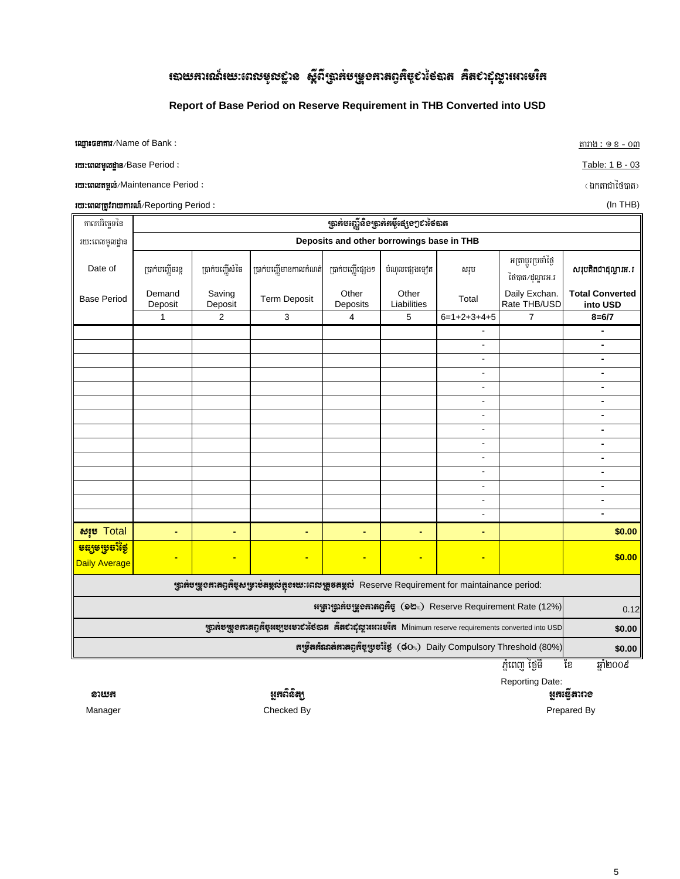# ៖បាយការណ៍យេះពេលមូលដ្ឋាន ស្តីពីត្រាក់បម្រួចកាតព្វកិច្ចបាំថៃបាត គិតបាល្អល្លារអាមេរិក

#### Report of Base Period on Reserve Requirement in THB Converted into USD

tom tam and Mame of Bank:

*rm: ពេលមូលដ្ឋាន/Base Period :* 

*rm: เตเ***หซูเข**่/Maintenance Period :

**rm:tnmrgfnmmrnnn**/Reporting Period:

កាលបរិច្ឆេទនៃ <sub>1</sub>ถูกต้ยงญี่ฉิ้อๆถูกต้ดตี้เสํงอๆชาง้อถาด រយៈពេលមូលដ្ឋាន Deposits and other borrowings base in THB អត្រាប្តូរប្រចាំថ្ងៃ ប្រាក់បញ្ហើចរន្ត ប្រាក់បញ្ញើមានកាលកំណត់ សរុបគិតជាដុល្លារអ.រ Date of ប្រាក់បញ្ញើសំចៃ ប្រាក់បញ្ញើផ្សេង១ បំណុលផ្សេងទៅត សរុប ថៃបាត/ដុល្លារអ.រ Daily Exchan. Demand Saving Other Other **Total Converted Base Period Term Deposit** Total Rate THB/USD Deposit Deposit Deposits Liabilities into USD  $6=1+2+3+4+5$  $8 = 6/7$  $\mathbf{1}$  $\overline{2}$ 3  $\overline{\mathbf{4}}$ 5 7 τ  $\overline{\phantom{a}}$  $\omega$  $\overline{\phantom{a}}$  $\omega$  $\sim$  $\Box$  $\blacksquare$  $\overline{a}$  $\overline{\phantom{a}}$  $\overline{\phantom{0}}$  $\blacksquare$  $\overline{a}$  $\blacksquare$  $\overline{\phantom{a}}$  $\mathbb{Z}^2$  $\blacksquare$  $\mathbb{Z}^2$  $\frac{1}{2}$  $\Box$  $\overline{a}$  $\mathbf{r}$  $\mathbf{r}$  $\sim$  $\mathbf{r}$  $\overline{a}$  $\Box$  $$0.00$ សរុម Total L. t, L. L. t, L. <u> ទន្សទម្រុចវិទ្រៃ</u> l,  $$0.00$ ÷ ÷ Daily Average ស្រ្តាអំបម្រួ**ខអាតព្ទអិច្ចសម្រាប់តម្កល់អួនយេៈពេលត្រូនតម្កល់** Reserve Requirement for maintainance period: អេស្រាវុធ្លាអ៉ីមម្រួទអាតព្វអិច្ច (១២%) Reserve Requirement Rate (12%)  $0.12$ ស្តាអមម្រួខអាតព្មអិច្ចអម្បូមមេរស់ថៃបាត អ៊ិតសំស្តីស្តារអាមេរិអា Minimum reserve requirements converted into USD \$0.00 หารูงิสห์ณาสหาสตุห์ซูเซชาร์ฮู (dos) Daily Compulsory Threshold (80%) \$0.00 ភ្នំពេញ ថ្ងៃទី ឆ្នាំ២០០៩ ខែ **Reporting Date:** 

ម្លុកធ្វើតារាខ

Prepared By

ម្លុងពិនិត្យ Checked By

ಐಅಗ Manager <u>តារាង: ១ខ - ០៣</u>

Table: 1 B - 03

( ឯកតាជាថៃបាត)

 $\sqrt{5}$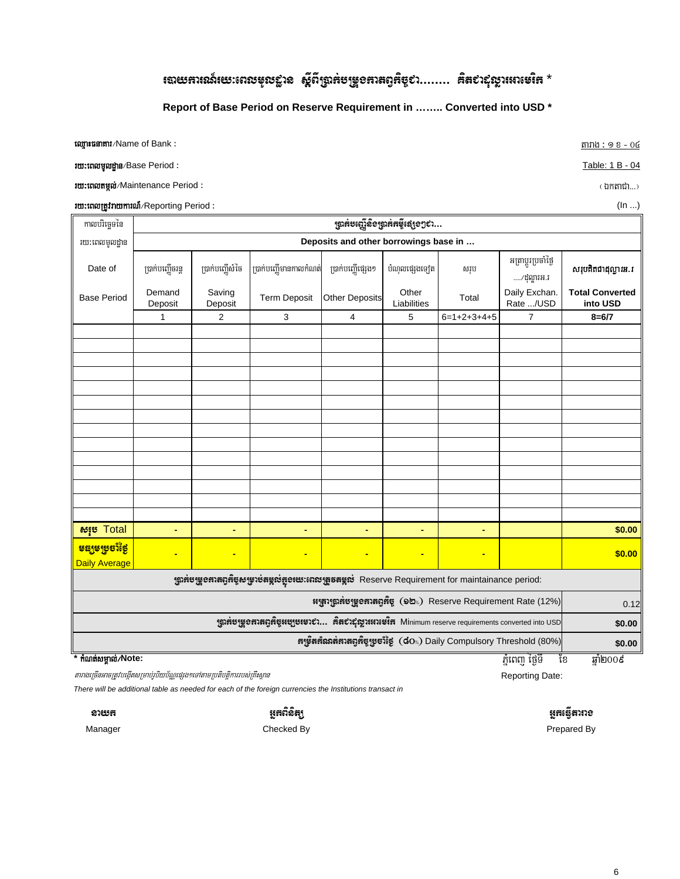# <sup>1</sup>បាយភារណ៍យេៈពេលមុលជ្ជាន ស្តីពីប្រាក់បម្រួ**ទភាតព្ទ**ភិច្ច¢រ…….. គិត¢ាជុល្លារអាមេរិក \*

#### Report of Base Period on Reserve Requirement in ........ Converted into USD \*

**ឈ្មោះផនាគារ/Name of Bank:** 

*rm: margagna/Base Period:* 

ru:tnomyoi/Maintenance Period:

*rm: marginmm mi*/Reporting Period:

កាលបរិច្ឆេទនៃ ត្រាក់មញ្ជើនិទត្រាក់កម្ចីផ្សេទៗ៩ា... Deposits and other borrowings base in ... រយ:ពេលមូលដ្ឋាន អត្រាប្តូរប្រចាំថ្ងៃ Date of ប្រាក់បញ្ញើសំចៃ ប្រាក់បញ្ហើមានកាលកំណត់ បំណុលផ្សេងទ្បេត សរុបគិតជាដុល្លារអ.រ ប្រាក់បញ្ហើចរន្ត ប្រាក់បញ្ញើផ្សេង១ សរុប ..../ដុល្លារអ.រ Daily Exchan. Demand Saving Other **Total Converted Base Period Term Deposit** Other Deposits Total Deposit Deposit Liabilities Rate .../USD into USD 3  $\overline{5}$  $6=1+2+3+4+5$  $8 = 6/7$  $\mathbf{1}$  $\overline{2}$  $\overline{\mathbf{4}}$  $\overline{7}$  $$0.00$ សរុម Total L. ÷, ä, L. L. L. <u> ទន្សទម្រុចវិទ្រៃ</u>  $$0.00$ Daily Average ស្រ្តាអ៉ីបម្រួ**ខអាតព្ទអិច្ចសម្រាប់តម្កល់អួនយេៈពេលត្រូតតម្កល់** Reserve Requirement for maintainance period: អង្គ្រារុត្តាអំបង្គ្រូខអាតព្មអិច្ច (១២%) Reserve Requirement Rate (12%)  $0.12$ ស្ត្រាអមម្រូ**ខអាតឲ្យអិច្ចអម្បូបរបាល់... អិតប៉ាស្ថិស្ថាអរាមេរិអ** Minimum reserve requirements converted into USD \$0.00 หาะสิหันกลิ่มหลดที่แหะนี้ยุ (dos) Daily Compulsory Threshold (80%) \$0.00 កំណត់សម្គាល់/Note: ឆ្នាំ២០០៩

ភ្នំពេញ ថ្ងៃទី ខែ

Reporting Date:

There will be additional table as needed for each of the foreign currencies the Institutions transact in

តារាងច្រើនអាចត្រូវបង្កើតសម្រាប់រូបិយប័ណ្ណផ្សេង១ទៅតាមប្រតិបត្តិការរបស់គ្រឹះស្ថាន

**DIERE** Manager

ម្លុងលិនិត្យ Checked By

ម្លុងធ្វើតារាទ Prepared By

តារាង: ១ខ-0៤

Table: 1 B - 04

 $(\text{inmin...})$ 

 $(ln ...)$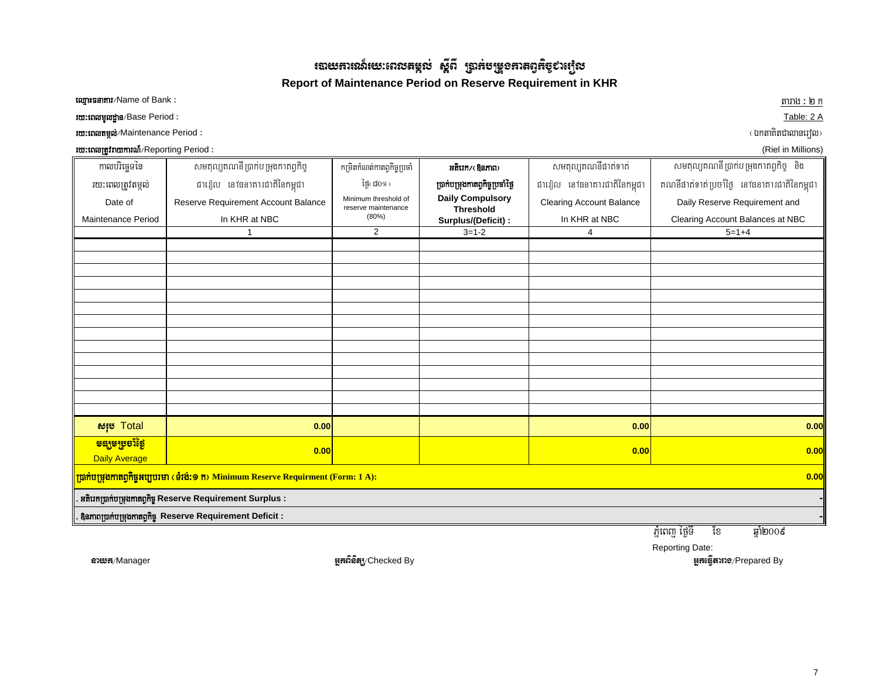ಣುಅಣುಃಚಾ  $\boldsymbol{d}$ រយៈពេលតង្កល់ ស្ពឺពី ប្រាក់បម្រួលកាតព្វកិច្ចសម្បើល **Report of Maintenance Period on Reserve Requirement in KHR**

ឈ្មោះផនាការ/Name of Bank :

roman and a Blue Base Period : Table: 2 A

ry³eBltmál;¼Maintenance Period ³ ¬ÉktaKitCalanerol¦

rumation and the Black of the Black of the Black of the Black of the Black of the Black of the Black of the Bluesch of the Black of the Bluesch of the Bluesch of the Bluesch of the Bluesch of the Bluesch of the Bluesch of

tarag ay isang pangalang at ang pangalang at ang pangalang at ang pangalang at ang pangalang at ang pangalang a  $mnh:ln n$ 

| កាលបរិច្ឆេទនៃ                                        | សមតុល្យគណនី ប្រាក់បម្រុងកាតព្វកិច្ច                                                                      | កម្រិតកំណត់កាតព្វកិច្ចប្រចាំ                | អតិរេក/(Bemn)                               | សមតុល្យគណនីផាត់ទាត់             | សមតុល្យគណនីប្រាក់បម្រុងកាតព្វកិច្ច និង       |  |  |
|------------------------------------------------------|----------------------------------------------------------------------------------------------------------|---------------------------------------------|---------------------------------------------|---------------------------------|----------------------------------------------|--|--|
| រយ:ពេលត្រូវតម្កល់                                    | ជារៀល នៅធនាគារជាតិនៃកម្ពុជា                                                                              | ម្រៃ ៨០%)                                   | ប្រាក់បម្រុងកាតព្វកិច្ចប្រចាំថ្ងៃ           | ជារៀល នៅធនាគារជាតិនៃកម្ពុជា     | គណនីផាត់ទាត់ប្រចាំថ្ងៃ នៅធនាគារជាតិនៃកម្ពុជា |  |  |
| Date of                                              | Reserve Requirement Account Balance                                                                      | Minimum threshold of<br>reserve maintenance | <b>Daily Compulsory</b><br><b>Threshold</b> | <b>Clearing Account Balance</b> | Daily Reserve Requirement and                |  |  |
| Maintenance Period                                   | In KHR at NBC                                                                                            | (80%)                                       | Surplus/(Deficit):                          | In KHR at NBC                   | Clearing Account Balances at NBC             |  |  |
|                                                      | 1                                                                                                        | $\overline{2}$                              | $3 = 1 - 2$                                 | 4                               | $5 = 1 + 4$                                  |  |  |
|                                                      |                                                                                                          |                                             |                                             |                                 |                                              |  |  |
|                                                      |                                                                                                          |                                             |                                             |                                 |                                              |  |  |
|                                                      |                                                                                                          |                                             |                                             |                                 |                                              |  |  |
|                                                      |                                                                                                          |                                             |                                             |                                 |                                              |  |  |
|                                                      |                                                                                                          |                                             |                                             |                                 |                                              |  |  |
|                                                      |                                                                                                          |                                             |                                             |                                 |                                              |  |  |
|                                                      |                                                                                                          |                                             |                                             |                                 |                                              |  |  |
|                                                      |                                                                                                          |                                             |                                             |                                 |                                              |  |  |
|                                                      |                                                                                                          |                                             |                                             |                                 |                                              |  |  |
|                                                      |                                                                                                          |                                             |                                             |                                 |                                              |  |  |
|                                                      |                                                                                                          |                                             |                                             |                                 |                                              |  |  |
|                                                      |                                                                                                          |                                             |                                             |                                 |                                              |  |  |
| សរុម Total                                           | 0.00                                                                                                     |                                             |                                             | 0.00                            | 0.00                                         |  |  |
|                                                      |                                                                                                          |                                             |                                             |                                 |                                              |  |  |
| <mark>ទន្សទម្រមាំថ្ងៃ</mark><br><b>Daily Average</b> | 0.00                                                                                                     |                                             |                                             | 0.00                            | 0.00                                         |  |  |
|                                                      | <mark>ប្រាក់បម្រុងកាតព្វកិច្ចអប្បបរមា (ទំរង់:១ ក) Minimum Reserve Requirment (Form: 1 A):</mark><br>0.00 |                                             |                                             |                                 |                                              |  |  |
|                                                      | អតិរេកប្រាក់បម្រុងកាតព្វកិច្ច Reserve Requirement Surplus :                                              |                                             |                                             |                                 |                                              |  |  |
|                                                      | <b>Bamnmining Stamming Reserve Requirement Deficit:</b>                                                  |                                             |                                             |                                 |                                              |  |  |

PMñeBj éf¶TI Ex qñaM2009

Reporting Date:

จาะหลุ/Manager ออกจาก ออกจาก ออกจาก ออกจาก ออกจาก ออกจาก ออกจาก ออกจาก ออกจาก ออกจาก ออกจาก ออกจาก จะเหนือของ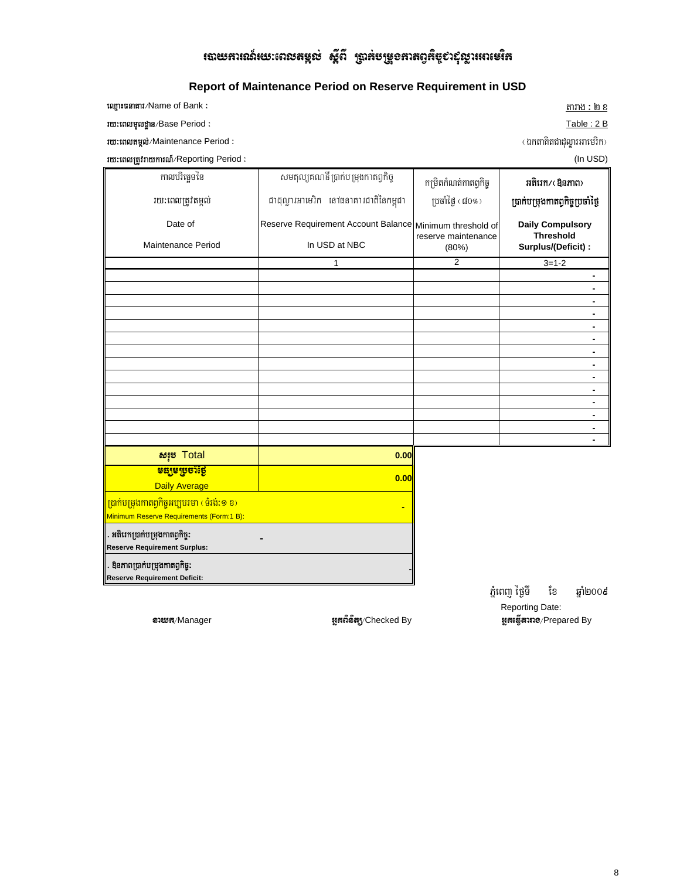# **របាយភារណ៍យេៈពេលតម្កល់ ស្តីពី ប្រាក់**មម្រួ**ខភា**តព្វកិច្ច¢ាស៊ីល្លារអាមេរិក

## Report of Maintenance Period on Reserve Requirement in USD

| tom turns and Name of Bank:                 | តារាង : ២ ខ |
|---------------------------------------------|-------------|
| <b><i>rm: ពេលមូលដ្ឋាន/Base Period :</i></b> | Table: 2 B  |

*rm: เถเงหนุต่/Maintenance Period :* 

**រយ:ពេលត្រូវរាយការណ៍/Reporting Period :** 

(ឯកតាគិតជាដុល្លារអាមេរិក)

(In USD)

| កាលបរិច្ឆេទនៃ<br>រយ:ពេលត្រូវតម្កល់<br>Date of<br>Maintenance Period                                  | សមតុល្យឥណនី ប្រាក់បម្រុងកាតព្វកិច្ច<br>ជាដុល្លារអាមេរិក នៅចនាគារជាតិនៃកម្ពុជា<br>Reserve Requirement Account Balance Minimum threshold of<br>In USD at NBC<br>1 | កម្រិតកំណត់កាតព្វកិច្ច<br>ប្រចាំថ្ងៃ $(d0\%)$<br>reserve maintenance<br>(80%)<br>$\overline{2}$ |                | អតិរេក/(Bamn)<br>ប្រាក់បម្រុងកាតព្វកិច្ចប្រចាំថ្ងៃ<br><b>Daily Compulsory</b><br><b>Threshold</b><br>Surplus/(Deficit) :<br>$3 = 1 - 2$<br>$\blacksquare$ |
|------------------------------------------------------------------------------------------------------|-----------------------------------------------------------------------------------------------------------------------------------------------------------------|-------------------------------------------------------------------------------------------------|----------------|-----------------------------------------------------------------------------------------------------------------------------------------------------------|
|                                                                                                      |                                                                                                                                                                 |                                                                                                 |                | $\blacksquare$                                                                                                                                            |
|                                                                                                      |                                                                                                                                                                 |                                                                                                 |                | $\blacksquare$                                                                                                                                            |
|                                                                                                      |                                                                                                                                                                 |                                                                                                 |                | $\blacksquare$                                                                                                                                            |
|                                                                                                      |                                                                                                                                                                 |                                                                                                 |                | $\blacksquare$                                                                                                                                            |
|                                                                                                      |                                                                                                                                                                 |                                                                                                 |                | $\blacksquare$                                                                                                                                            |
|                                                                                                      |                                                                                                                                                                 |                                                                                                 |                | $\blacksquare$                                                                                                                                            |
|                                                                                                      |                                                                                                                                                                 |                                                                                                 |                | $\blacksquare$                                                                                                                                            |
|                                                                                                      |                                                                                                                                                                 |                                                                                                 |                | $\blacksquare$                                                                                                                                            |
|                                                                                                      |                                                                                                                                                                 |                                                                                                 |                | $\blacksquare$                                                                                                                                            |
|                                                                                                      |                                                                                                                                                                 |                                                                                                 |                |                                                                                                                                                           |
|                                                                                                      |                                                                                                                                                                 |                                                                                                 |                |                                                                                                                                                           |
| សរុម Total                                                                                           | 0.00                                                                                                                                                            |                                                                                                 |                |                                                                                                                                                           |
| <mark>ទន្សទម្រមាំថ្ងៃ</mark><br><b>Daily Average</b>                                                 | 0.00                                                                                                                                                            |                                                                                                 |                |                                                                                                                                                           |
| <mark>ព្រាក់បម្រុងកាតព្វកិច្ចអប្បបរមា (ទំរង់:១ ខ)</mark><br>Minimum Reserve Requirements (Form:1 B): |                                                                                                                                                                 |                                                                                                 |                |                                                                                                                                                           |
| . អតិរេកប្រាក់បម្រុងកាតព្វកិច្ច:<br><b>Reserve Requirement Surplus:</b>                              |                                                                                                                                                                 |                                                                                                 |                |                                                                                                                                                           |
| មិនភាពប្រាក់បម្រុងកាតព្វកិច្ច:<br><b>Reserve Requirement Deficit:</b>                                |                                                                                                                                                                 |                                                                                                 |                |                                                                                                                                                           |
|                                                                                                      |                                                                                                                                                                 |                                                                                                 | ភ្នំពេញ ថ្ងៃទី | ខែ<br>ឆាំ២០០៩                                                                                                                                             |

อายะต/Manager

អ្នកព័ន៌ត្យ/Checked By

Reporting Date: **អូកធ្វើតារាទ**/Prepared By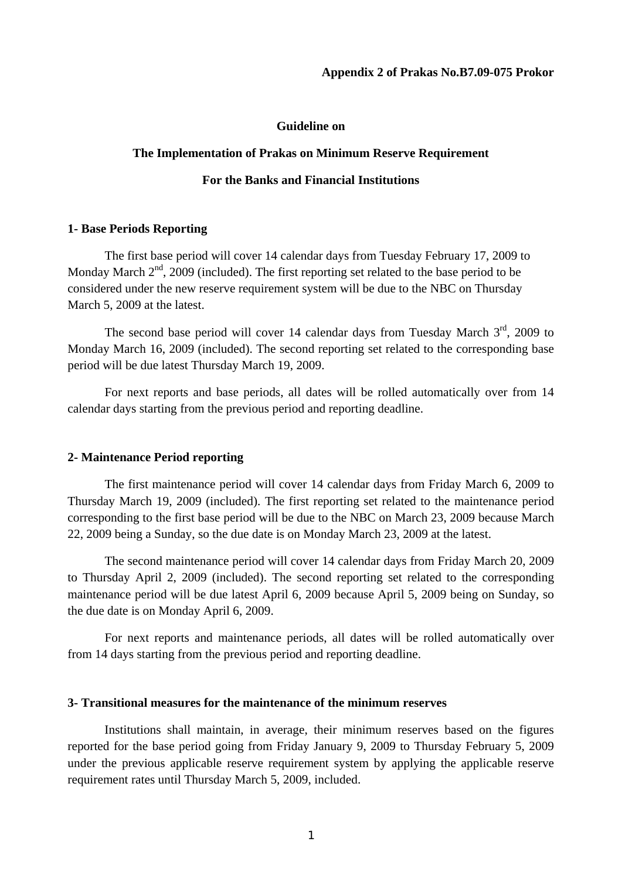#### **Guideline on**

#### **The Implementation of Prakas on Minimum Reserve Requirement**

## **For the Banks and Financial Institutions**

#### **1- Base Periods Reporting**

 The first base period will cover 14 calendar days from Tuesday February 17, 2009 to Monday March  $2<sup>nd</sup>$ , 2009 (included). The first reporting set related to the base period to be considered under the new reserve requirement system will be due to the NBC on Thursday March 5, 2009 at the latest.

The second base period will cover 14 calendar days from Tuesday March  $3<sup>rd</sup>$ , 2009 to Monday March 16, 2009 (included). The second reporting set related to the corresponding base period will be due latest Thursday March 19, 2009.

 For next reports and base periods, all dates will be rolled automatically over from 14 calendar days starting from the previous period and reporting deadline.

#### **2- Maintenance Period reporting**

 The first maintenance period will cover 14 calendar days from Friday March 6, 2009 to Thursday March 19, 2009 (included). The first reporting set related to the maintenance period corresponding to the first base period will be due to the NBC on March 23, 2009 because March 22, 2009 being a Sunday, so the due date is on Monday March 23, 2009 at the latest.

 The second maintenance period will cover 14 calendar days from Friday March 20, 2009 to Thursday April 2, 2009 (included). The second reporting set related to the corresponding maintenance period will be due latest April 6, 2009 because April 5, 2009 being on Sunday, so the due date is on Monday April 6, 2009.

 For next reports and maintenance periods, all dates will be rolled automatically over from 14 days starting from the previous period and reporting deadline.

## **3- Transitional measures for the maintenance of the minimum reserves**

 Institutions shall maintain, in average, their minimum reserves based on the figures reported for the base period going from Friday January 9, 2009 to Thursday February 5, 2009 under the previous applicable reserve requirement system by applying the applicable reserve requirement rates until Thursday March 5, 2009, included.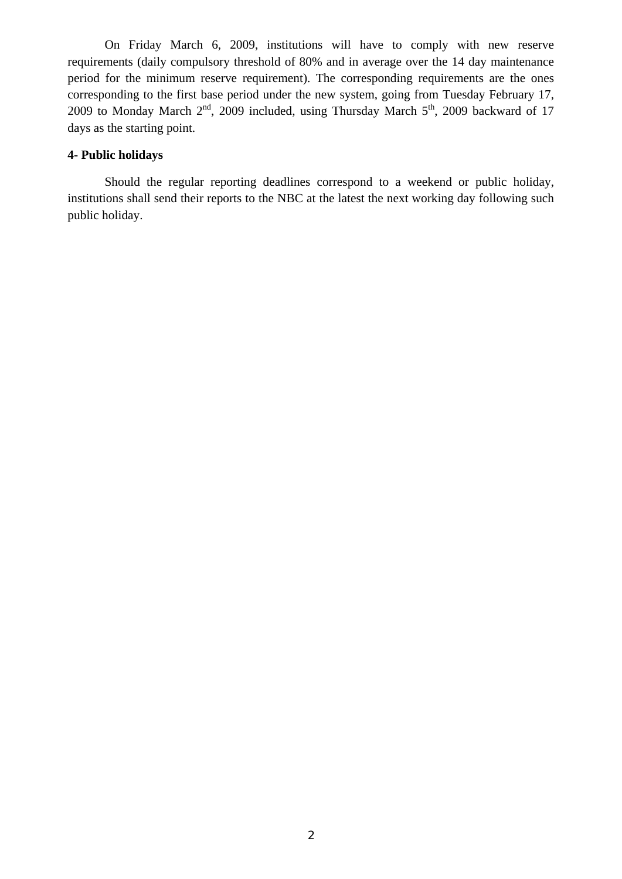On Friday March 6, 2009, institutions will have to comply with new reserve requirements (daily compulsory threshold of 80% and in average over the 14 day maintenance period for the minimum reserve requirement). The corresponding requirements are the ones corresponding to the first base period under the new system, going from Tuesday February 17, 2009 to Monday March  $2^{nd}$ , 2009 included, using Thursday March  $5^{th}$ , 2009 backward of 17 days as the starting point.

## **4- Public holidays**

 Should the regular reporting deadlines correspond to a weekend or public holiday, institutions shall send their reports to the NBC at the latest the next working day following such public holiday.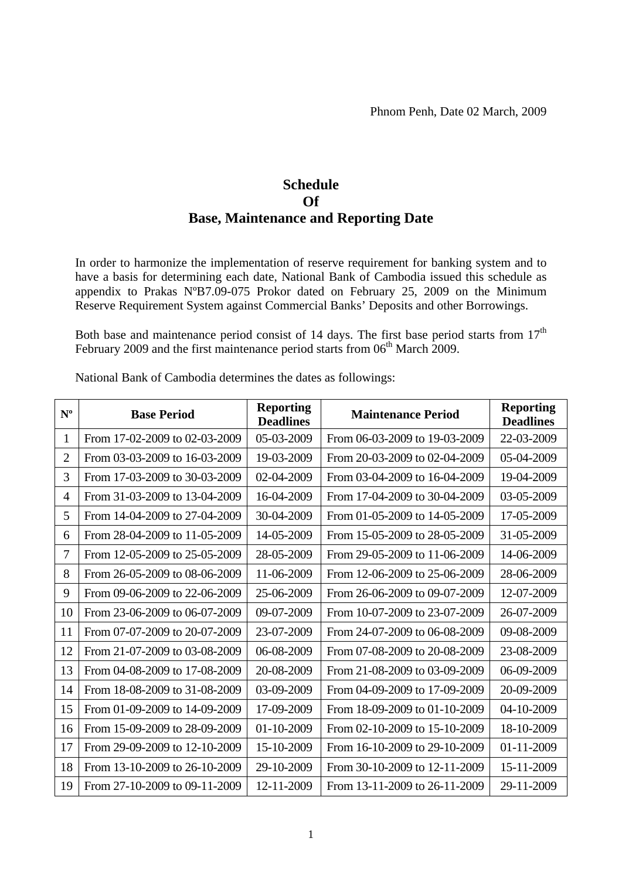# **Schedule Of Base, Maintenance and Reporting Date**

In order to harmonize the implementation of reserve requirement for banking system and to have a basis for determining each date, National Bank of Cambodia issued this schedule as appendix to Prakas NºB7.09-075 Prokor dated on February 25, 2009 on the Minimum Reserve Requirement System against Commercial Banks' Deposits and other Borrowings.

Both base and maintenance period consist of 14 days. The first base period starts from  $17<sup>th</sup>$ February 2009 and the first maintenance period starts from  $06<sup>th</sup>$  March 2009.

| $N^{\mathrm{o}}$ | <b>Base Period</b>            | <b>Reporting</b><br><b>Deadlines</b> | <b>Maintenance Period</b>     | <b>Reporting</b><br><b>Deadlines</b> |
|------------------|-------------------------------|--------------------------------------|-------------------------------|--------------------------------------|
| 1                | From 17-02-2009 to 02-03-2009 | 05-03-2009                           | From 06-03-2009 to 19-03-2009 | 22-03-2009                           |
| $\overline{2}$   | From 03-03-2009 to 16-03-2009 | 19-03-2009                           | From 20-03-2009 to 02-04-2009 | 05-04-2009                           |
| 3                | From 17-03-2009 to 30-03-2009 | 02-04-2009                           | From 03-04-2009 to 16-04-2009 | 19-04-2009                           |
| 4                | From 31-03-2009 to 13-04-2009 | 16-04-2009                           | From 17-04-2009 to 30-04-2009 | 03-05-2009                           |
| 5                | From 14-04-2009 to 27-04-2009 | 30-04-2009                           | From 01-05-2009 to 14-05-2009 | 17-05-2009                           |
| 6                | From 28-04-2009 to 11-05-2009 | 14-05-2009                           | From 15-05-2009 to 28-05-2009 | 31-05-2009                           |
| 7                | From 12-05-2009 to 25-05-2009 | 28-05-2009                           | From 29-05-2009 to 11-06-2009 | 14-06-2009                           |
| 8                | From 26-05-2009 to 08-06-2009 | 11-06-2009                           | From 12-06-2009 to 25-06-2009 | 28-06-2009                           |
| 9                | From 09-06-2009 to 22-06-2009 | 25-06-2009                           | From 26-06-2009 to 09-07-2009 | 12-07-2009                           |
| 10               | From 23-06-2009 to 06-07-2009 | 09-07-2009                           | From 10-07-2009 to 23-07-2009 | 26-07-2009                           |
| 11               | From 07-07-2009 to 20-07-2009 | 23-07-2009                           | From 24-07-2009 to 06-08-2009 | 09-08-2009                           |
| 12               | From 21-07-2009 to 03-08-2009 | 06-08-2009                           | From 07-08-2009 to 20-08-2009 | 23-08-2009                           |
| 13               | From 04-08-2009 to 17-08-2009 | 20-08-2009                           | From 21-08-2009 to 03-09-2009 | 06-09-2009                           |
| 14               | From 18-08-2009 to 31-08-2009 | $03-09-2009$                         | From 04-09-2009 to 17-09-2009 | 20-09-2009                           |
| 15               | From 01-09-2009 to 14-09-2009 | 17-09-2009                           | From 18-09-2009 to 01-10-2009 | 04-10-2009                           |
| 16               | From 15-09-2009 to 28-09-2009 | $01 - 10 - 2009$                     | From 02-10-2009 to 15-10-2009 | 18-10-2009                           |
| 17               | From 29-09-2009 to 12-10-2009 | 15-10-2009                           | From 16-10-2009 to 29-10-2009 | 01-11-2009                           |
| 18               | From 13-10-2009 to 26-10-2009 | 29-10-2009                           | From 30-10-2009 to 12-11-2009 | 15-11-2009                           |
| 19               | From 27-10-2009 to 09-11-2009 | 12-11-2009                           | From 13-11-2009 to 26-11-2009 | 29-11-2009                           |

National Bank of Cambodia determines the dates as followings: